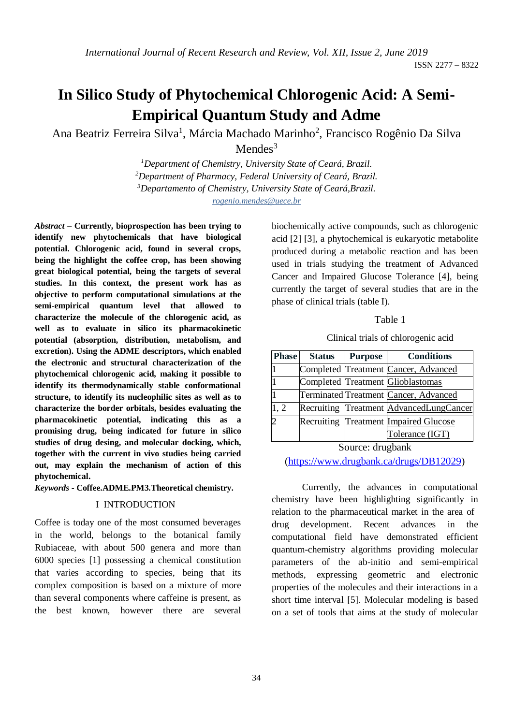ISSN 2277 – 8322

# **In Silico Study of Phytochemical Chlorogenic Acid: A Semi-Empirical Quantum Study and Adme**

Ana Beatriz Ferreira Silva<sup>1</sup>, Márcia Machado Marinho<sup>2</sup>, Francisco Rogênio Da Silva

Mendes $3$ 

*Department of Chemistry, University State of Ceará, Brazil. Department of Pharmacy, Federal University of Ceará, Brazil. Departamento of Chemistry, University State of Ceará,Brazil. rogenio.mendes@uece.br* 

*Abstract* **– Currently, bioprospection has been trying to identify new phytochemicals that have biological potential. Chlorogenic acid, found in several crops, being the highlight the coffee crop, has been showing great biological potential, being the targets of several studies. In this context, the present work has as objective to perform computational simulations at the semi-empirical quantum level that allowed to characterize the molecule of the chlorogenic acid, as well as to evaluate in silico its pharmacokinetic potential (absorption, distribution, metabolism, and excretion). Using the ADME descriptors, which enabled the electronic and structural characterization of the phytochemical chlorogenic acid, making it possible to identify its thermodynamically stable conformational structure, to identify its nucleophilic sites as well as to characterize the border orbitals, besides evaluating the pharmacokinetic potential, indicating this as a promising drug, being indicated for future in silico studies of drug desing, and molecular docking, which, together with the current in vivo studies being carried out, may explain the mechanism of action of this phytochemical.**

*Keywords* **- Coffee.ADME.PM3.Theoretical chemistry.**

#### I INTRODUCTION

Coffee is today one of the most consumed beverages in the world, belongs to the botanical family Rubiaceae, with about 500 genera and more than 6000 species [1] possessing a chemical constitution that varies according to species, being that its complex composition is based on a mixture of more than several components where caffeine is present, as the best known, however there are several

biochemically active compounds, such as chlorogenic acid [2] [3], a phytochemical is eukaryotic metabolite produced during a metabolic reaction and has been used in trials studying the treatment of Advanced Cancer and Impaired Glucose Tolerance [4], being currently the target of several studies that are in the phase of clinical trials (table I).

Table 1

Clinical trials of chlorogenic acid

| <b>Phase</b> | <b>Status</b> | <b>Purpose</b> | <b>Conditions</b>                       |
|--------------|---------------|----------------|-----------------------------------------|
|              |               |                | Completed Treatment Cancer, Advanced    |
|              |               |                | Completed Treatment Glioblastomas       |
|              |               |                | Terminated Treatment Cancer, Advanced   |
| 1, 2         |               |                | Recruiting Treatment AdvancedLungCancer |
|              |               |                | Recruiting Treatment Impaired Glucose   |
|              |               |                | Tolerance (IGT)                         |

Source: drugbank

[\(https://www.drugbank.ca/drugs/DB12029\)](https://www.drugbank.ca/drugs/DB12029)

Currently, the advances in computational chemistry have been highlighting significantly in relation to the pharmaceutical market in the area of drug development. Recent advances in the computational field have demonstrated efficient quantum-chemistry algorithms providing molecular parameters of the ab-initio and semi-empirical methods, expressing geometric and electronic properties of the molecules and their interactions in a short time interval [5]. Molecular modeling is based on a set of tools that aims at the study of molecular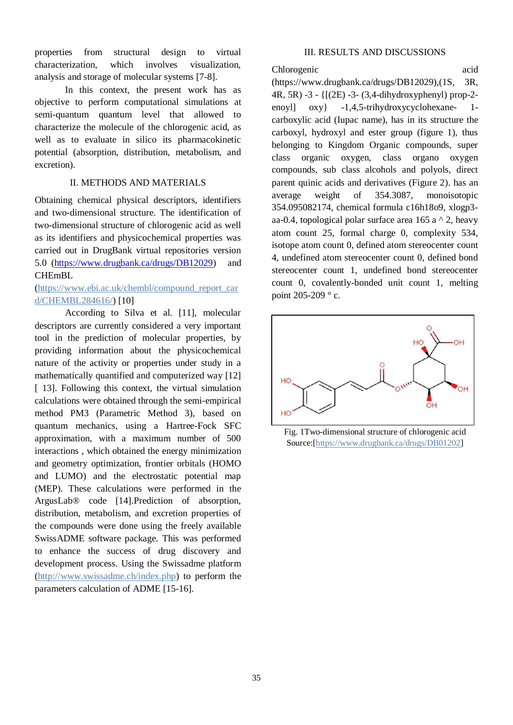properties from structural design to virtual characterization, which involves visualization, analysis and storage of molecular systems [7-8].

In this context, the present work has as objective to perform computational simulations at semi-quantum quantum level that allowed to characterize the molecule of the chlorogenic acid, as well as to evaluate in silico its pharmacokinetic potential (absorption, distribution, metabolism, and excretion).

#### II. METHODS AND MATERIALS

Obtaining chemical physical descriptors, identifiers and two-dimensional structure. The identification of two-dimensional structure of chlorogenic acid as well as its identifiers and physicochemical properties was carried out in DrugBank virtual repositories version 5.0 [\(https://www.drugbank.ca/drugs/DB12029\)](https://www.drugbank.ca/drugs/DB12029) and CHEmBL

## (https://www.ebi.ac.uk/chembl/compound\_report\_car d/CHEMBL284616/) [10]

According to Silva et al. [11], molecular descriptors are currently considered a very important tool in the prediction of molecular properties, by providing information about the physicochemical nature of the activity or properties under study in a mathematically quantified and computerized way [12] [ 13]. Following this context, the virtual simulation calculations were obtained through the semi-empirical method PM3 (Parametric Method 3), based on quantum mechanics, using a Hartree-Fock SFC approximation, with a maximum number of 500 interactions , which obtained the energy minimization and geometry optimization, frontier orbitals (HOMO and LUMO) and the electrostatic potential map (MEP). These calculations were performed in the ArgusLab® code [14].Prediction of absorption, distribution, metabolism, and excretion properties of the compounds were done using the freely available SwissADME software package. This was performed to enhance the success of drug discovery and development process. Using the Swissadme platform (http://www.swissadme.ch/index.php) to perform the parameters calculation of ADME [15-16].

### III. RESULTS AND DISCUSSIONS

Chlorogenic acid (https://www.drugbank.ca/drugs/DB12029),(1S, 3R, 4R, 5R) -3 - {[(2E) -3- (3,4-dihydroxyphenyl) prop-2 enoyl] oxy} -1,4,5-trihydroxycyclohexane- 1 carboxylic acid (Iupac name), has in its structure the carboxyl, hydroxyl and ester group (figure 1), thus belonging to Kingdom Organic compounds, super class organic oxygen, class organo oxygen compounds, sub class alcohols and polyols, direct parent quinic acids and derivatives (Figure 2). has an average weight of 354.3087, monoisotopic 354.095082174, chemical formula c16h18o9, xlogp3 aa-0.4, topological polar surface area 165 a  $\wedge$  2, heavy atom count 25, formal charge 0, complexity 534, isotope atom count 0, defined atom stereocenter count 4, undefined atom stereocenter count 0, defined bond stereocenter count 1, undefined bond stereocenter count 0, covalently-bonded unit count 1, melting point 205-209 ° c.



Fig. 1Two-dimensional structure of chlorogenic acid Source:[https://www.drugbank.ca/drugs/DB01202]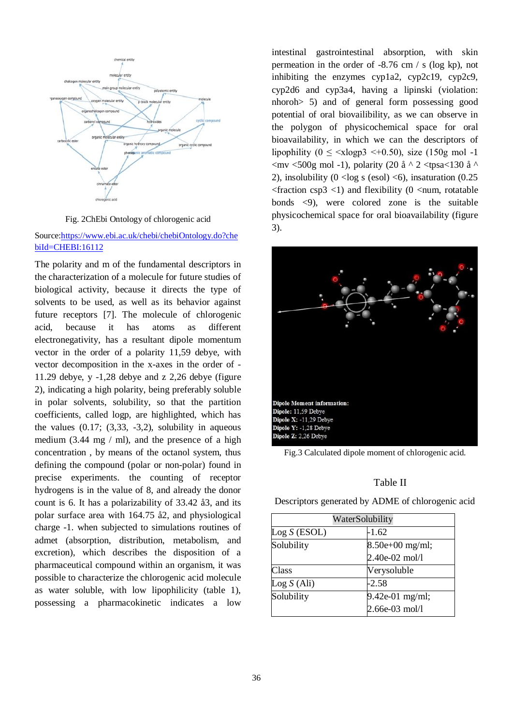

Fig. 2ChEbi Ontology of chlorogenic acid

#### Source[:https://www.ebi.ac.uk/chebi/chebiOntology.do?che](https://www.ebi.ac.uk/chebi/chebiOntology.do?chebiId=CHEBI:16112) [biId=CHEBI:16112](https://www.ebi.ac.uk/chebi/chebiOntology.do?chebiId=CHEBI:16112)

The polarity and m of the fundamental descriptors in the characterization of a molecule for future studies of biological activity, because it directs the type of solvents to be used, as well as its behavior against future receptors [7]. The molecule of chlorogenic acid, because it has atoms as different electronegativity, has a resultant dipole momentum vector in the order of a polarity 11,59 debye, with vector decomposition in the x-axes in the order of - 11.29 debye, y -1,28 debye and z 2,26 debye (figure 2), indicating a high polarity, being preferably soluble in polar solvents, solubility, so that the partition coefficients, called logp, are highlighted, which has the values  $(0.17; (3.33, -3.2),$  solubility in aqueous medium  $(3.44 \text{ mg} / \text{ml})$ , and the presence of a high concentration , by means of the octanol system, thus defining the compound (polar or non-polar) found in precise experiments. the counting of receptor hydrogens is in the value of 8, and already the donor count is 6. It has a polarizability of 33.42 å3, and its polar surface area with 164.75 å2, and physiological charge -1. when subjected to simulations routines of admet (absorption, distribution, metabolism, and excretion), which describes the disposition of a pharmaceutical compound within an organism, it was possible to characterize the chlorogenic acid molecule as water soluble, with low lipophilicity (table 1), possessing a pharmacokinetic indicates a low

intestinal gastrointestinal absorption, with skin permeation in the order of -8.76 cm / s (log kp), not inhibiting the enzymes cyp1a2, cyp2c19, cyp2c9, cyp2d6 and cyp3a4, having a lipinski (violation: nhoroh> 5) and of general form possessing good potential of oral biovailibility, as we can observe in the polygon of physicochemical space for oral bioavailability, in which we can the descriptors of lipophility ( $0 \le \langle x \rangle \leq 3 \langle x \rangle$  = 40.50), size (150g mol -1  $\langle$ mv  $\langle$ 500g mol -1), polarity (20 å ^ 2  $\langle$ tpsa $\langle$ 130 å ^ 2), insolubility  $(0 \le \log s \text{ (esol)} \le 6)$ , insaturation  $(0.25$  $\epsilon$  fraction csp3  $\epsilon$ 1) and flexibility (0  $\epsilon$ num, rotatable bonds <9), were colored zone is the suitable physicochemical space for oral bioavailability (figure 3).



Fig.3 Calculated dipole moment of chlorogenic acid.

#### Table II

| Descriptors generated by ADME of chlorogenic acid                                                                                                 |  |
|---------------------------------------------------------------------------------------------------------------------------------------------------|--|
| $\mathbf{W}$ $\mathbf{V}$ = $\mathbf{V}$ = $\mathbf{V}$ = $\mathbf{V}$ = $\mathbf{V}$ = $\mathbf{V}$ = $\mathbf{V}$ = $\mathbf{V}$ = $\mathbf{V}$ |  |

| WaterSolubility |                   |  |
|-----------------|-------------------|--|
| Log S (ESOL)    | $-1.62$           |  |
| Solubility      | $8.50e+00$ mg/ml; |  |
|                 | 2.40e-02 mol/l    |  |
| Class           | Verysoluble       |  |
| Log S (Ali)     | $-2.58$           |  |
| Solubility      | $9.42e-01$ mg/ml; |  |
|                 | 2.66e-03 mol/l    |  |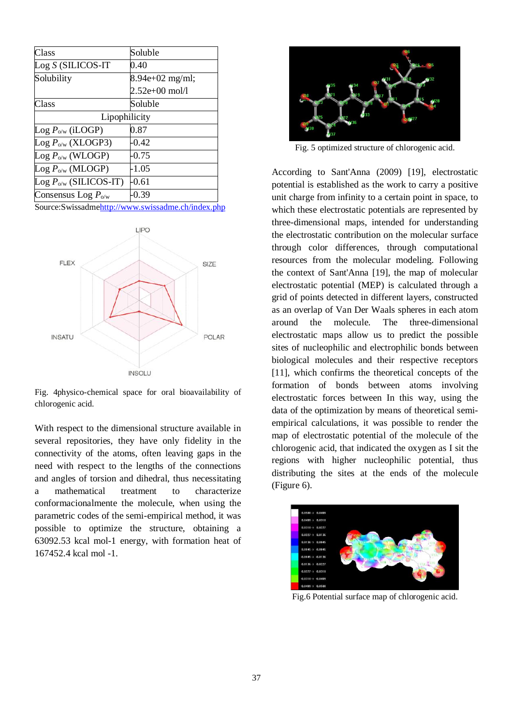| Class                                 | Soluble          |  |  |  |
|---------------------------------------|------------------|--|--|--|
| $Log S$ (SILICOS-IT                   | 0.40             |  |  |  |
| Solubility                            | 8.94e+02 mg/ml;  |  |  |  |
|                                       | $2.52e+00$ mol/l |  |  |  |
| Class                                 | Soluble          |  |  |  |
| Lipophilicity                         |                  |  |  |  |
| $\text{Log } P_{o/w}$ (iLOGP)         | 0.87             |  |  |  |
| $\text{Log } P_{o/w}$ (XLOGP3)        | $-0.42$          |  |  |  |
| $\text{Log } P_{o/w}$ (WLOGP)         | $-0.75$          |  |  |  |
| $\text{Log } P_{o/w} \text{ (MLOGP)}$ | $-1.05$          |  |  |  |
| $\text{Log } P_{o/w}$ (SILICOS-IT)    | $-0.61$          |  |  |  |
| Consensus Log $P_{o/w}$               | -0.39            |  |  |  |

Source:Swissadm[ehttp://www.swissadme.ch/index.php](http://www.swissadme.ch/index.php)



Fig. 4physico-chemical space for oral bioavailability of chlorogenic acid.

With respect to the dimensional structure available in several repositories, they have only fidelity in the connectivity of the atoms, often leaving gaps in the need with respect to the lengths of the connections and angles of torsion and dihedral, thus necessitating a mathematical treatment to characterize conformacionalmente the molecule, when using the parametric codes of the semi-empirical method, it was possible to optimize the structure, obtaining a 63092.53 kcal mol-1 energy, with formation heat of 167452.4 kcal mol -1.



Fig. 5 optimized structure of chlorogenic acid.

According to Sant'Anna (2009) [19], electrostatic potential is established as the work to carry a positive unit charge from infinity to a certain point in space, to which these electrostatic potentials are represented by three-dimensional maps, intended for understanding the electrostatic contribution on the molecular surface through color differences, through computational resources from the molecular modeling. Following the context of Sant'Anna [19], the map of molecular electrostatic potential (MEP) is calculated through a grid of points detected in different layers, constructed as an overlap of Van Der Waals spheres in each atom around the molecule. The three-dimensional electrostatic maps allow us to predict the possible sites of nucleophilic and electrophilic bonds between biological molecules and their respective receptors [11], which confirms the theoretical concepts of the formation of bonds between atoms involving electrostatic forces between In this way, using the data of the optimization by means of theoretical semiempirical calculations, it was possible to render the map of electrostatic potential of the molecule of the chlorogenic acid, that indicated the oxygen as I sit the regions with higher nucleophilic potential, thus distributing the sites at the ends of the molecule (Figure 6).



Fig.6 Potential surface map of chlorogenic acid.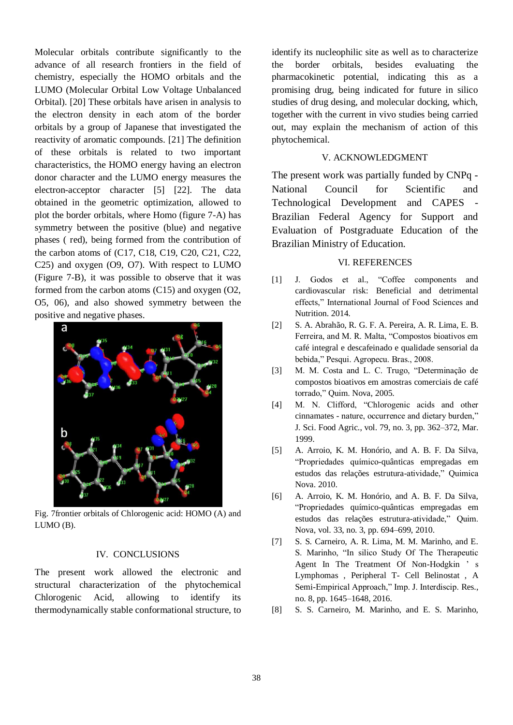Molecular orbitals contribute significantly to the advance of all research frontiers in the field of chemistry, especially the HOMO orbitals and the LUMO (Molecular Orbital Low Voltage Unbalanced Orbital). [20] These orbitals have arisen in analysis to the electron density in each atom of the border orbitals by a group of Japanese that investigated the reactivity of aromatic compounds. [21] The definition of these orbitals is related to two important characteristics, the HOMO energy having an electron donor character and the LUMO energy measures the electron-acceptor character [5] [22]. The data obtained in the geometric optimization, allowed to plot the border orbitals, where Homo (figure 7-A) has symmetry between the positive (blue) and negative phases ( red), being formed from the contribution of the carbon atoms of (C17, C18, C19, C20, C21, C22, C25) and oxygen (O9, O7). With respect to LUMO (Figure 7-B), it was possible to observe that it was formed from the carbon atoms (C15) and oxygen (O2, O5, 06), and also showed symmetry between the positive and negative phases.



Fig. 7frontier orbitals of Chlorogenic acid: HOMO (A) and LUMO (B).

#### IV. CONCLUSIONS

The present work allowed the electronic and structural characterization of the phytochemical Chlorogenic Acid, allowing to identify its thermodynamically stable conformational structure, to identify its nucleophilic site as well as to characterize the border orbitals, besides evaluating the pharmacokinetic potential, indicating this as a promising drug, being indicated for future in silico studies of drug desing, and molecular docking, which, together with the current in vivo studies being carried out, may explain the mechanism of action of this phytochemical.

#### V. ACKNOWLEDGMENT

The present work was partially funded by CNPq - National Council for Scientific and Technological Development and CAPES Brazilian Federal Agency for Support and Evaluation of Postgraduate Education of the Brazilian Ministry of Education.

#### VI. REFERENCES

- [1] J. Godos et al., "Coffee components and cardiovascular risk: Beneficial and detrimental effects," International Journal of Food Sciences and Nutrition. 2014.
- [2] S. A. Abrahão, R. G. F. A. Pereira, A. R. Lima, E. B. Ferreira, and M. R. Malta, "Compostos bioativos em café integral e descafeinado e qualidade sensorial da bebida," Pesqui. Agropecu. Bras., 2008.
- [3] M. M. Costa and L. C. Trugo, "Determinação de compostos bioativos em amostras comerciais de café torrado," Quim. Nova, 2005.
- [4] M. N. Clifford, "Chlorogenic acids and other cinnamates - nature, occurrence and dietary burden," J. Sci. Food Agric., vol. 79, no. 3, pp. 362–372, Mar. 1999.
- [5] A. Arroio, K. M. Honório, and A. B. F. Da Silva, "Propriedades químico-quânticas empregadas em estudos das relações estrutura-atividade," Quimica Nova. 2010.
- [6] A. Arroio, K. M. Honório, and A. B. F. Da Silva, "Propriedades químico-quânticas empregadas em estudos das relações estrutura-atividade," Quim. Nova, vol. 33, no. 3, pp. 694–699, 2010.
- [7] S. S. Carneiro, A. R. Lima, M. M. Marinho, and E. S. Marinho, "In silico Study Of The Therapeutic Agent In The Treatment Of Non-Hodgkin ' s Lymphomas , Peripheral T- Cell Belinostat , A Semi-Empirical Approach," Imp. J. Interdiscip. Res., no. 8, pp. 1645–1648, 2016.
- [8] S. S. Carneiro, M. Marinho, and E. S. Marinho,